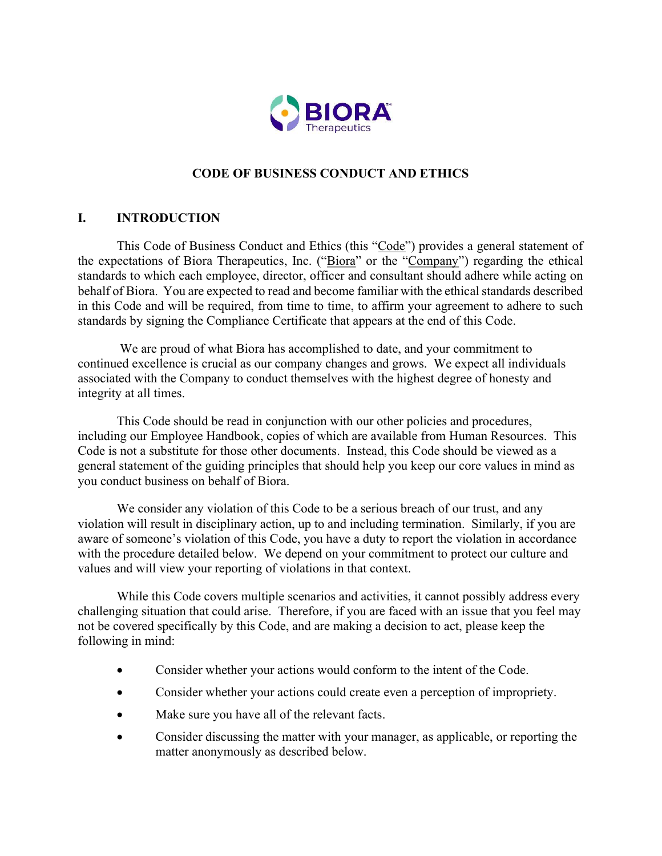

# CODE OF BUSINESS CONDUCT AND ETHICS

# I. INTRODUCTION

This Code of Business Conduct and Ethics (this "Code") provides a general statement of the expectations of Biora Therapeutics, Inc. ("Biora" or the "Company") regarding the ethical standards to which each employee, director, officer and consultant should adhere while acting on behalf of Biora. You are expected to read and become familiar with the ethical standards described in this Code and will be required, from time to time, to affirm your agreement to adhere to such standards by signing the Compliance Certificate that appears at the end of this Code.

 We are proud of what Biora has accomplished to date, and your commitment to continued excellence is crucial as our company changes and grows. We expect all individuals associated with the Company to conduct themselves with the highest degree of honesty and integrity at all times.

This Code should be read in conjunction with our other policies and procedures, including our Employee Handbook, copies of which are available from Human Resources. This Code is not a substitute for those other documents. Instead, this Code should be viewed as a general statement of the guiding principles that should help you keep our core values in mind as you conduct business on behalf of Biora.

We consider any violation of this Code to be a serious breach of our trust, and any violation will result in disciplinary action, up to and including termination. Similarly, if you are aware of someone's violation of this Code, you have a duty to report the violation in accordance with the procedure detailed below. We depend on your commitment to protect our culture and values and will view your reporting of violations in that context.

While this Code covers multiple scenarios and activities, it cannot possibly address every challenging situation that could arise. Therefore, if you are faced with an issue that you feel may not be covered specifically by this Code, and are making a decision to act, please keep the following in mind:

- Consider whether your actions would conform to the intent of the Code.
- Consider whether your actions could create even a perception of impropriety.
- Make sure you have all of the relevant facts.
- Consider discussing the matter with your manager, as applicable, or reporting the matter anonymously as described below.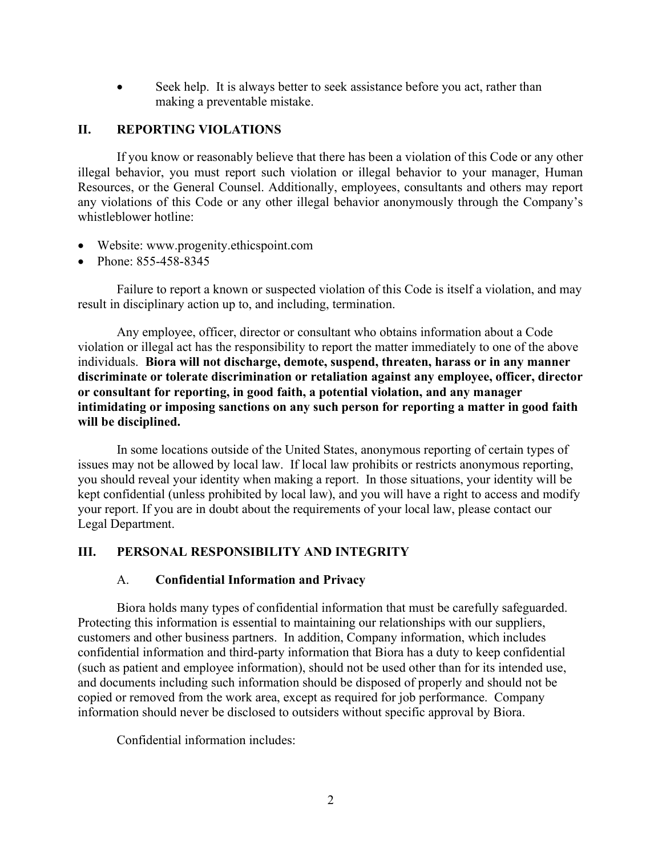Seek help. It is always better to seek assistance before you act, rather than making a preventable mistake.

### II. REPORTING VIOLATIONS

If you know or reasonably believe that there has been a violation of this Code or any other illegal behavior, you must report such violation or illegal behavior to your manager, Human Resources, or the General Counsel. Additionally, employees, consultants and others may report any violations of this Code or any other illegal behavior anonymously through the Company's whistleblower hotline:

- Website: www.progenity.ethicspoint.com
- Phone: 855-458-8345

Failure to report a known or suspected violation of this Code is itself a violation, and may result in disciplinary action up to, and including, termination.

Any employee, officer, director or consultant who obtains information about a Code violation or illegal act has the responsibility to report the matter immediately to one of the above individuals. Biora will not discharge, demote, suspend, threaten, harass or in any manner discriminate or tolerate discrimination or retaliation against any employee, officer, director or consultant for reporting, in good faith, a potential violation, and any manager intimidating or imposing sanctions on any such person for reporting a matter in good faith will be disciplined.

In some locations outside of the United States, anonymous reporting of certain types of issues may not be allowed by local law. If local law prohibits or restricts anonymous reporting, you should reveal your identity when making a report. In those situations, your identity will be kept confidential (unless prohibited by local law), and you will have a right to access and modify your report. If you are in doubt about the requirements of your local law, please contact our Legal Department.

# III. PERSONAL RESPONSIBILITY AND INTEGRITY

### A. Confidential Information and Privacy

Biora holds many types of confidential information that must be carefully safeguarded. Protecting this information is essential to maintaining our relationships with our suppliers, customers and other business partners. In addition, Company information, which includes confidential information and third-party information that Biora has a duty to keep confidential (such as patient and employee information), should not be used other than for its intended use, and documents including such information should be disposed of properly and should not be copied or removed from the work area, except as required for job performance. Company information should never be disclosed to outsiders without specific approval by Biora.

Confidential information includes: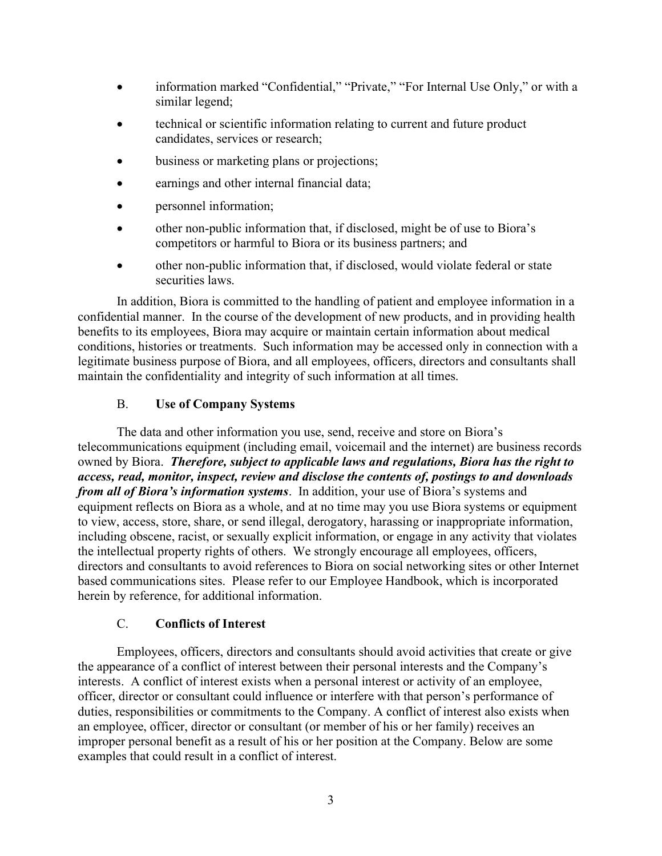- information marked "Confidential," "Private," "For Internal Use Only," or with a similar legend;
- technical or scientific information relating to current and future product candidates, services or research;
- business or marketing plans or projections;
- earnings and other internal financial data;
- personnel information;
- other non-public information that, if disclosed, might be of use to Biora's competitors or harmful to Biora or its business partners; and
- other non-public information that, if disclosed, would violate federal or state securities laws.

In addition, Biora is committed to the handling of patient and employee information in a confidential manner. In the course of the development of new products, and in providing health benefits to its employees, Biora may acquire or maintain certain information about medical conditions, histories or treatments. Such information may be accessed only in connection with a legitimate business purpose of Biora, and all employees, officers, directors and consultants shall maintain the confidentiality and integrity of such information at all times.

# B. Use of Company Systems

The data and other information you use, send, receive and store on Biora's telecommunications equipment (including email, voicemail and the internet) are business records owned by Biora. Therefore, subject to applicable laws and regulations, Biora has the right to access, read, monitor, inspect, review and disclose the contents of, postings to and downloads from all of Biora's information systems. In addition, your use of Biora's systems and equipment reflects on Biora as a whole, and at no time may you use Biora systems or equipment to view, access, store, share, or send illegal, derogatory, harassing or inappropriate information, including obscene, racist, or sexually explicit information, or engage in any activity that violates the intellectual property rights of others. We strongly encourage all employees, officers, directors and consultants to avoid references to Biora on social networking sites or other Internet based communications sites. Please refer to our Employee Handbook, which is incorporated herein by reference, for additional information.

# C. Conflicts of Interest

Employees, officers, directors and consultants should avoid activities that create or give the appearance of a conflict of interest between their personal interests and the Company's interests. A conflict of interest exists when a personal interest or activity of an employee, officer, director or consultant could influence or interfere with that person's performance of duties, responsibilities or commitments to the Company. A conflict of interest also exists when an employee, officer, director or consultant (or member of his or her family) receives an improper personal benefit as a result of his or her position at the Company. Below are some examples that could result in a conflict of interest.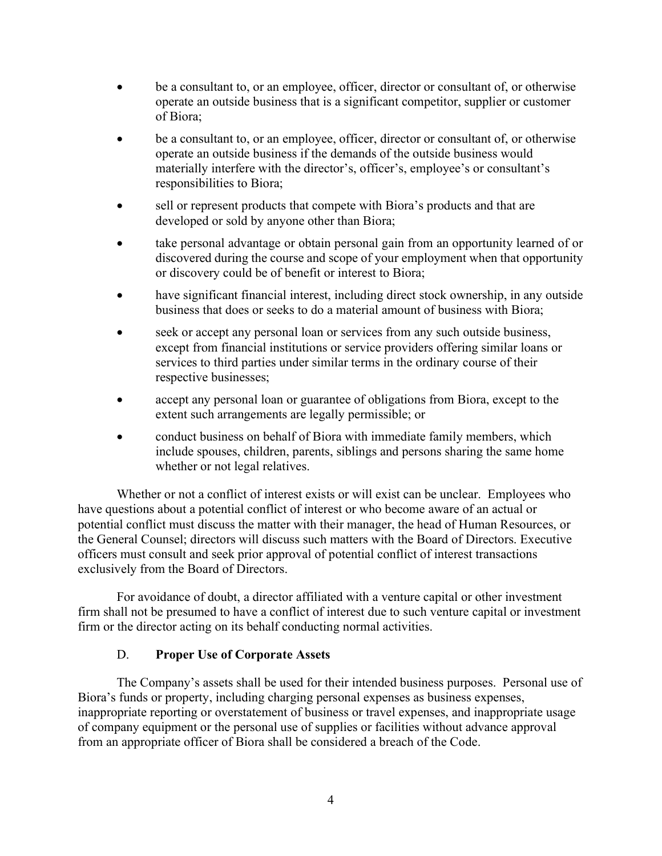- be a consultant to, or an employee, officer, director or consultant of, or otherwise operate an outside business that is a significant competitor, supplier or customer of Biora;
- be a consultant to, or an employee, officer, director or consultant of, or otherwise operate an outside business if the demands of the outside business would materially interfere with the director's, officer's, employee's or consultant's responsibilities to Biora;
- sell or represent products that compete with Biora's products and that are developed or sold by anyone other than Biora;
- take personal advantage or obtain personal gain from an opportunity learned of or discovered during the course and scope of your employment when that opportunity or discovery could be of benefit or interest to Biora;
- have significant financial interest, including direct stock ownership, in any outside business that does or seeks to do a material amount of business with Biora;
- seek or accept any personal loan or services from any such outside business, except from financial institutions or service providers offering similar loans or services to third parties under similar terms in the ordinary course of their respective businesses;
- accept any personal loan or guarantee of obligations from Biora, except to the extent such arrangements are legally permissible; or
- conduct business on behalf of Biora with immediate family members, which include spouses, children, parents, siblings and persons sharing the same home whether or not legal relatives.

Whether or not a conflict of interest exists or will exist can be unclear. Employees who have questions about a potential conflict of interest or who become aware of an actual or potential conflict must discuss the matter with their manager, the head of Human Resources, or the General Counsel; directors will discuss such matters with the Board of Directors. Executive officers must consult and seek prior approval of potential conflict of interest transactions exclusively from the Board of Directors.

For avoidance of doubt, a director affiliated with a venture capital or other investment firm shall not be presumed to have a conflict of interest due to such venture capital or investment firm or the director acting on its behalf conducting normal activities.

# D. Proper Use of Corporate Assets

The Company's assets shall be used for their intended business purposes. Personal use of Biora's funds or property, including charging personal expenses as business expenses, inappropriate reporting or overstatement of business or travel expenses, and inappropriate usage of company equipment or the personal use of supplies or facilities without advance approval from an appropriate officer of Biora shall be considered a breach of the Code.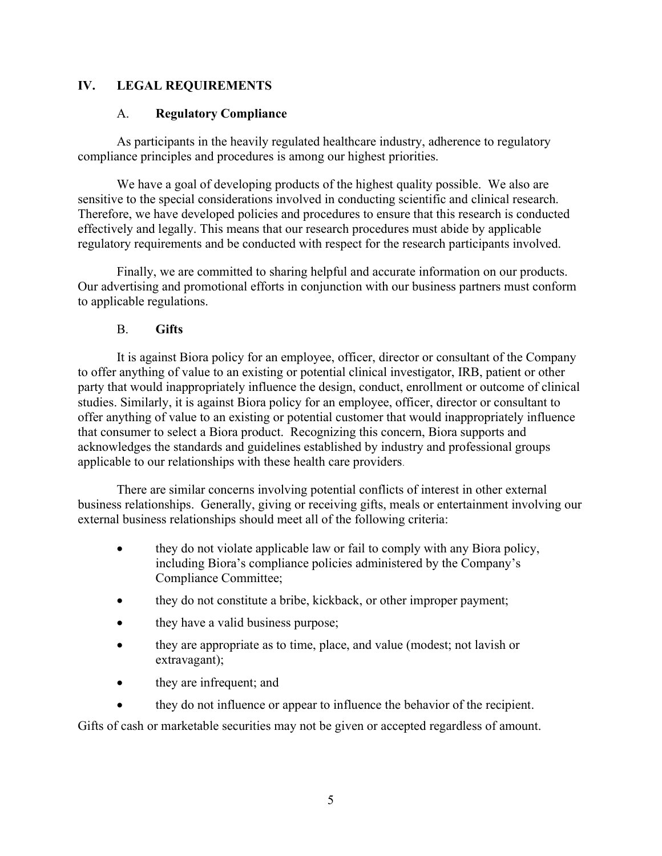# IV. LEGAL REQUIREMENTS

### A. Regulatory Compliance

As participants in the heavily regulated healthcare industry, adherence to regulatory compliance principles and procedures is among our highest priorities.

We have a goal of developing products of the highest quality possible. We also are sensitive to the special considerations involved in conducting scientific and clinical research. Therefore, we have developed policies and procedures to ensure that this research is conducted effectively and legally. This means that our research procedures must abide by applicable regulatory requirements and be conducted with respect for the research participants involved.

Finally, we are committed to sharing helpful and accurate information on our products. Our advertising and promotional efforts in conjunction with our business partners must conform to applicable regulations.

### B. Gifts

It is against Biora policy for an employee, officer, director or consultant of the Company to offer anything of value to an existing or potential clinical investigator, IRB, patient or other party that would inappropriately influence the design, conduct, enrollment or outcome of clinical studies. Similarly, it is against Biora policy for an employee, officer, director or consultant to offer anything of value to an existing or potential customer that would inappropriately influence that consumer to select a Biora product. Recognizing this concern, Biora supports and acknowledges the standards and guidelines established by industry and professional groups applicable to our relationships with these health care providers.

There are similar concerns involving potential conflicts of interest in other external business relationships. Generally, giving or receiving gifts, meals or entertainment involving our external business relationships should meet all of the following criteria:

- they do not violate applicable law or fail to comply with any Biora policy, including Biora's compliance policies administered by the Company's Compliance Committee;
- they do not constitute a bribe, kickback, or other improper payment;
- they have a valid business purpose;
- they are appropriate as to time, place, and value (modest; not lavish or extravagant);
- they are infrequent; and
- they do not influence or appear to influence the behavior of the recipient.

Gifts of cash or marketable securities may not be given or accepted regardless of amount.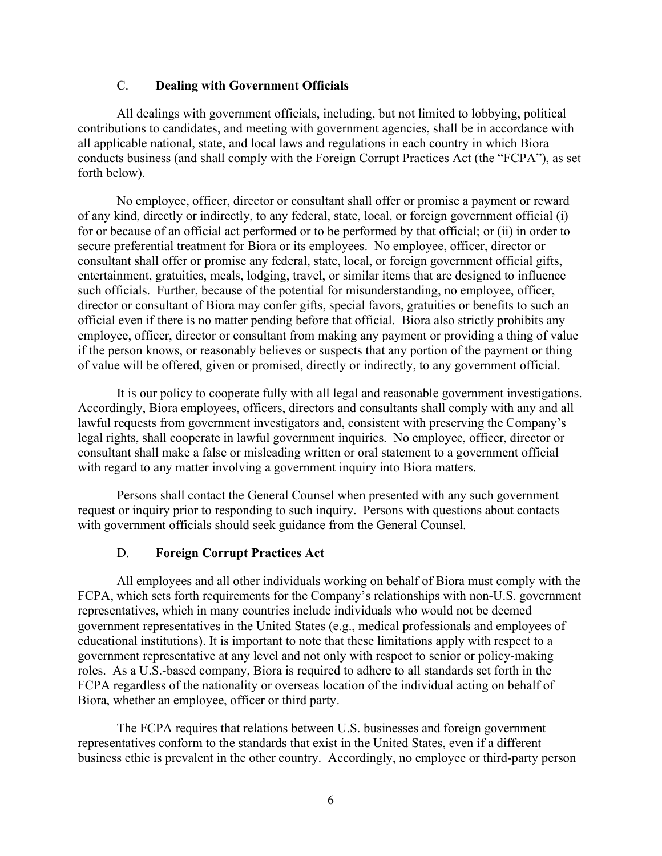#### C. Dealing with Government Officials

All dealings with government officials, including, but not limited to lobbying, political contributions to candidates, and meeting with government agencies, shall be in accordance with all applicable national, state, and local laws and regulations in each country in which Biora conducts business (and shall comply with the Foreign Corrupt Practices Act (the "FCPA"), as set forth below).

No employee, officer, director or consultant shall offer or promise a payment or reward of any kind, directly or indirectly, to any federal, state, local, or foreign government official (i) for or because of an official act performed or to be performed by that official; or (ii) in order to secure preferential treatment for Biora or its employees. No employee, officer, director or consultant shall offer or promise any federal, state, local, or foreign government official gifts, entertainment, gratuities, meals, lodging, travel, or similar items that are designed to influence such officials. Further, because of the potential for misunderstanding, no employee, officer, director or consultant of Biora may confer gifts, special favors, gratuities or benefits to such an official even if there is no matter pending before that official. Biora also strictly prohibits any employee, officer, director or consultant from making any payment or providing a thing of value if the person knows, or reasonably believes or suspects that any portion of the payment or thing of value will be offered, given or promised, directly or indirectly, to any government official.

It is our policy to cooperate fully with all legal and reasonable government investigations. Accordingly, Biora employees, officers, directors and consultants shall comply with any and all lawful requests from government investigators and, consistent with preserving the Company's legal rights, shall cooperate in lawful government inquiries. No employee, officer, director or consultant shall make a false or misleading written or oral statement to a government official with regard to any matter involving a government inquiry into Biora matters.

Persons shall contact the General Counsel when presented with any such government request or inquiry prior to responding to such inquiry. Persons with questions about contacts with government officials should seek guidance from the General Counsel.

### D. Foreign Corrupt Practices Act

All employees and all other individuals working on behalf of Biora must comply with the FCPA, which sets forth requirements for the Company's relationships with non-U.S. government representatives, which in many countries include individuals who would not be deemed government representatives in the United States (e.g., medical professionals and employees of educational institutions). It is important to note that these limitations apply with respect to a government representative at any level and not only with respect to senior or policy-making roles. As a U.S.-based company, Biora is required to adhere to all standards set forth in the FCPA regardless of the nationality or overseas location of the individual acting on behalf of Biora, whether an employee, officer or third party.

The FCPA requires that relations between U.S. businesses and foreign government representatives conform to the standards that exist in the United States, even if a different business ethic is prevalent in the other country. Accordingly, no employee or third-party person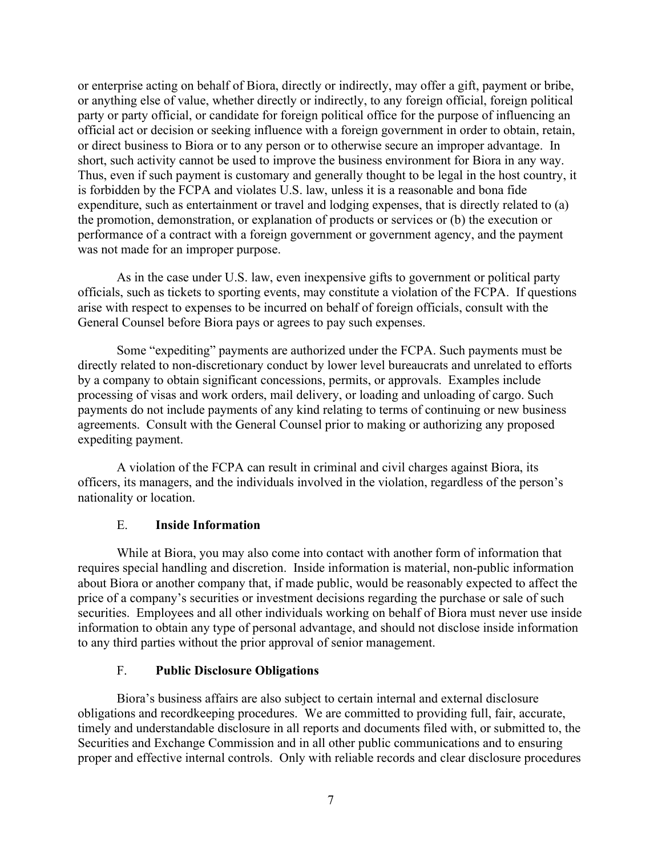or enterprise acting on behalf of Biora, directly or indirectly, may offer a gift, payment or bribe, or anything else of value, whether directly or indirectly, to any foreign official, foreign political party or party official, or candidate for foreign political office for the purpose of influencing an official act or decision or seeking influence with a foreign government in order to obtain, retain, or direct business to Biora or to any person or to otherwise secure an improper advantage. In short, such activity cannot be used to improve the business environment for Biora in any way. Thus, even if such payment is customary and generally thought to be legal in the host country, it is forbidden by the FCPA and violates U.S. law, unless it is a reasonable and bona fide expenditure, such as entertainment or travel and lodging expenses, that is directly related to (a) the promotion, demonstration, or explanation of products or services or (b) the execution or performance of a contract with a foreign government or government agency, and the payment was not made for an improper purpose.

As in the case under U.S. law, even inexpensive gifts to government or political party officials, such as tickets to sporting events, may constitute a violation of the FCPA. If questions arise with respect to expenses to be incurred on behalf of foreign officials, consult with the General Counsel before Biora pays or agrees to pay such expenses.

Some "expediting" payments are authorized under the FCPA. Such payments must be directly related to non-discretionary conduct by lower level bureaucrats and unrelated to efforts by a company to obtain significant concessions, permits, or approvals. Examples include processing of visas and work orders, mail delivery, or loading and unloading of cargo. Such payments do not include payments of any kind relating to terms of continuing or new business agreements. Consult with the General Counsel prior to making or authorizing any proposed expediting payment.

A violation of the FCPA can result in criminal and civil charges against Biora, its officers, its managers, and the individuals involved in the violation, regardless of the person's nationality or location.

# E. Inside Information

While at Biora, you may also come into contact with another form of information that requires special handling and discretion. Inside information is material, non-public information about Biora or another company that, if made public, would be reasonably expected to affect the price of a company's securities or investment decisions regarding the purchase or sale of such securities. Employees and all other individuals working on behalf of Biora must never use inside information to obtain any type of personal advantage, and should not disclose inside information to any third parties without the prior approval of senior management.

### F. Public Disclosure Obligations

Biora's business affairs are also subject to certain internal and external disclosure obligations and recordkeeping procedures. We are committed to providing full, fair, accurate, timely and understandable disclosure in all reports and documents filed with, or submitted to, the Securities and Exchange Commission and in all other public communications and to ensuring proper and effective internal controls. Only with reliable records and clear disclosure procedures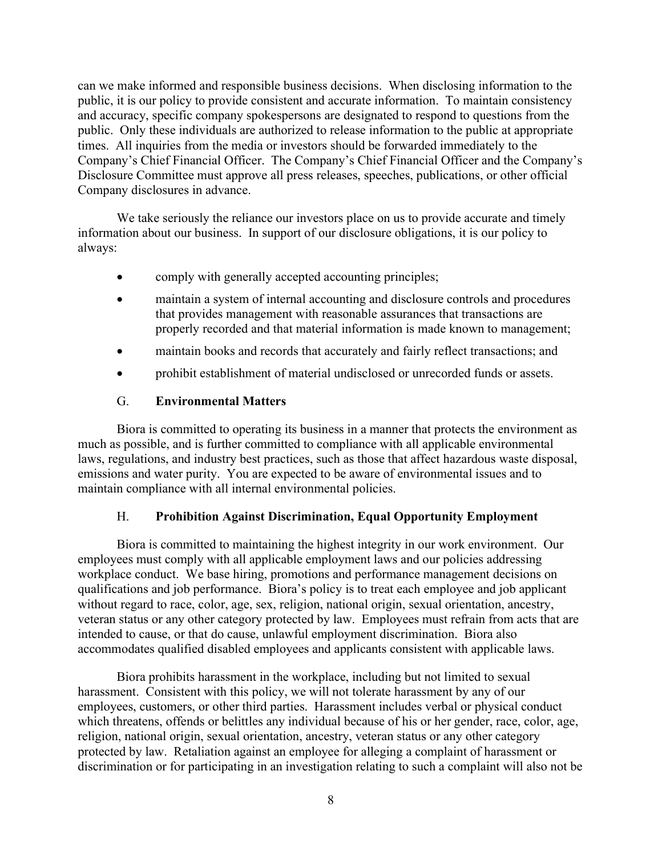can we make informed and responsible business decisions. When disclosing information to the public, it is our policy to provide consistent and accurate information. To maintain consistency and accuracy, specific company spokespersons are designated to respond to questions from the public. Only these individuals are authorized to release information to the public at appropriate times. All inquiries from the media or investors should be forwarded immediately to the Company's Chief Financial Officer. The Company's Chief Financial Officer and the Company's Disclosure Committee must approve all press releases, speeches, publications, or other official Company disclosures in advance.

We take seriously the reliance our investors place on us to provide accurate and timely information about our business. In support of our disclosure obligations, it is our policy to always:

- comply with generally accepted accounting principles;
- maintain a system of internal accounting and disclosure controls and procedures that provides management with reasonable assurances that transactions are properly recorded and that material information is made known to management;
- maintain books and records that accurately and fairly reflect transactions; and
- prohibit establishment of material undisclosed or unrecorded funds or assets.

### G. Environmental Matters

Biora is committed to operating its business in a manner that protects the environment as much as possible, and is further committed to compliance with all applicable environmental laws, regulations, and industry best practices, such as those that affect hazardous waste disposal, emissions and water purity. You are expected to be aware of environmental issues and to maintain compliance with all internal environmental policies.

### H. Prohibition Against Discrimination, Equal Opportunity Employment

Biora is committed to maintaining the highest integrity in our work environment. Our employees must comply with all applicable employment laws and our policies addressing workplace conduct. We base hiring, promotions and performance management decisions on qualifications and job performance. Biora's policy is to treat each employee and job applicant without regard to race, color, age, sex, religion, national origin, sexual orientation, ancestry, veteran status or any other category protected by law. Employees must refrain from acts that are intended to cause, or that do cause, unlawful employment discrimination. Biora also accommodates qualified disabled employees and applicants consistent with applicable laws.

Biora prohibits harassment in the workplace, including but not limited to sexual harassment. Consistent with this policy, we will not tolerate harassment by any of our employees, customers, or other third parties. Harassment includes verbal or physical conduct which threatens, offends or belittles any individual because of his or her gender, race, color, age, religion, national origin, sexual orientation, ancestry, veteran status or any other category protected by law. Retaliation against an employee for alleging a complaint of harassment or discrimination or for participating in an investigation relating to such a complaint will also not be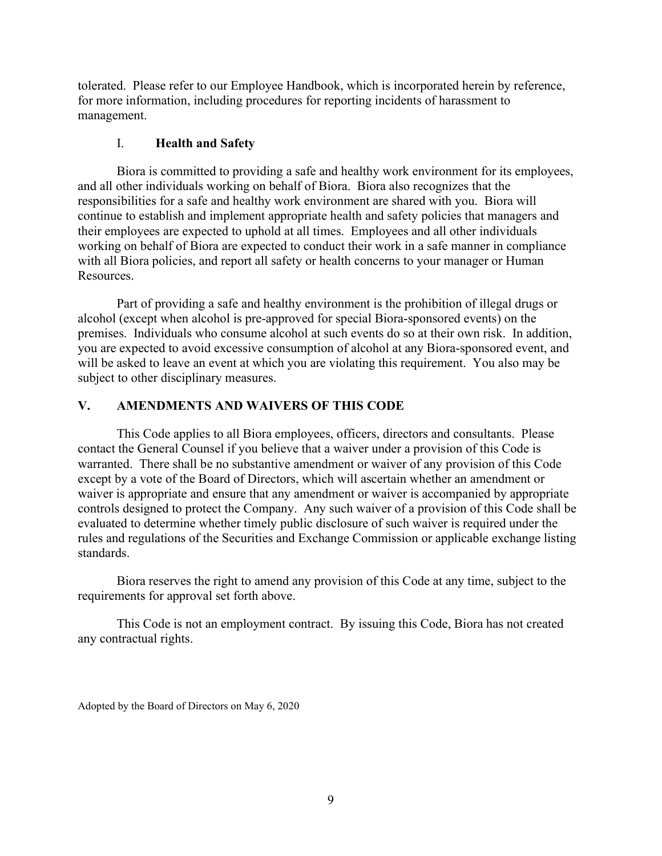tolerated. Please refer to our Employee Handbook, which is incorporated herein by reference, for more information, including procedures for reporting incidents of harassment to management.

### I. Health and Safety

Biora is committed to providing a safe and healthy work environment for its employees, and all other individuals working on behalf of Biora. Biora also recognizes that the responsibilities for a safe and healthy work environment are shared with you. Biora will continue to establish and implement appropriate health and safety policies that managers and their employees are expected to uphold at all times. Employees and all other individuals working on behalf of Biora are expected to conduct their work in a safe manner in compliance with all Biora policies, and report all safety or health concerns to your manager or Human Resources.

Part of providing a safe and healthy environment is the prohibition of illegal drugs or alcohol (except when alcohol is pre-approved for special Biora-sponsored events) on the premises. Individuals who consume alcohol at such events do so at their own risk. In addition, you are expected to avoid excessive consumption of alcohol at any Biora-sponsored event, and will be asked to leave an event at which you are violating this requirement. You also may be subject to other disciplinary measures.

# V. AMENDMENTS AND WAIVERS OF THIS CODE

This Code applies to all Biora employees, officers, directors and consultants. Please contact the General Counsel if you believe that a waiver under a provision of this Code is warranted. There shall be no substantive amendment or waiver of any provision of this Code except by a vote of the Board of Directors, which will ascertain whether an amendment or waiver is appropriate and ensure that any amendment or waiver is accompanied by appropriate controls designed to protect the Company. Any such waiver of a provision of this Code shall be evaluated to determine whether timely public disclosure of such waiver is required under the rules and regulations of the Securities and Exchange Commission or applicable exchange listing standards.

Biora reserves the right to amend any provision of this Code at any time, subject to the requirements for approval set forth above.

This Code is not an employment contract. By issuing this Code, Biora has not created any contractual rights.

Adopted by the Board of Directors on May 6, 2020